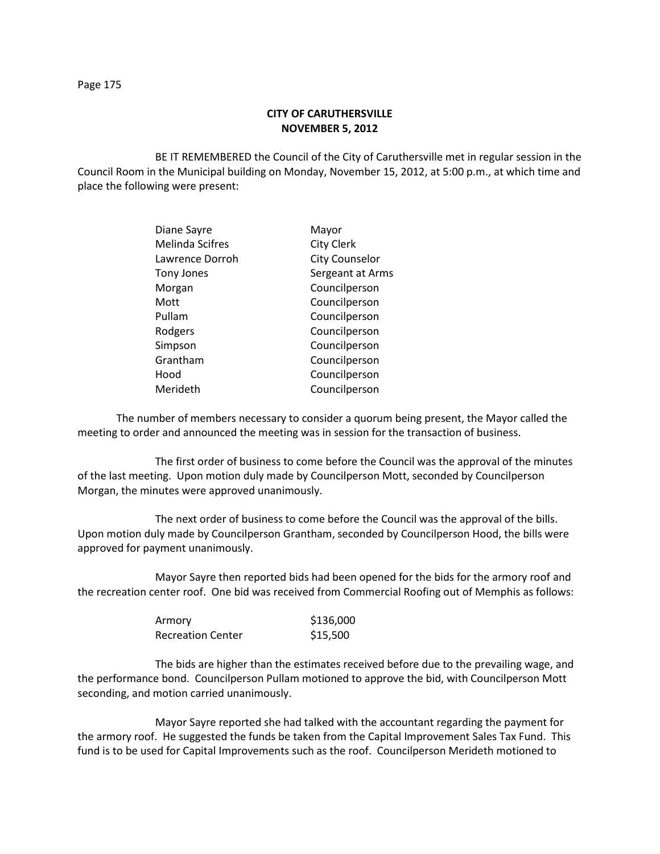## **CITY OF CARUTHERSVILLE NOVEMBER 5, 2012**

BE IT REMEMBERED the Council of the City of Caruthersville met in regular session in the Council Room in the Municipal building on Monday, November 15, 2012, at 5:00 p.m., at which time and place the following were present:

| Diane Sayre            | Mayor                 |
|------------------------|-----------------------|
| <b>Melinda Scifres</b> | <b>City Clerk</b>     |
| Lawrence Dorroh        | <b>City Counselor</b> |
| Tony Jones             | Sergeant at Arms      |
| Morgan                 | Councilperson         |
| Mott                   | Councilperson         |
| Pullam                 | Councilperson         |
| Rodgers                | Councilperson         |
| Simpson                | Councilperson         |
| Grantham               | Councilperson         |
| Hood                   | Councilperson         |
| Merideth               | Councilperson         |

The number of members necessary to consider a quorum being present, the Mayor called the meeting to order and announced the meeting was in session for the transaction of business.

The first order of business to come before the Council was the approval of the minutes of the last meeting. Upon motion duly made by Councilperson Mott, seconded by Councilperson Morgan, the minutes were approved unanimously.

The next order of business to come before the Council was the approval of the bills. Upon motion duly made by Councilperson Grantham, seconded by Councilperson Hood, the bills were approved for payment unanimously.

Mayor Sayre then reported bids had been opened for the bids for the armory roof and the recreation center roof. One bid was received from Commercial Roofing out of Memphis as follows:

| Armory            | \$136,000 |
|-------------------|-----------|
| Recreation Center | \$15,500  |

The bids are higher than the estimates received before due to the prevailing wage, and the performance bond. Councilperson Pullam motioned to approve the bid, with Councilperson Mott seconding, and motion carried unanimously.

Mayor Sayre reported she had talked with the accountant regarding the payment for the armory roof. He suggested the funds be taken from the Capital Improvement Sales Tax Fund. This fund is to be used for Capital Improvements such as the roof. Councilperson Merideth motioned to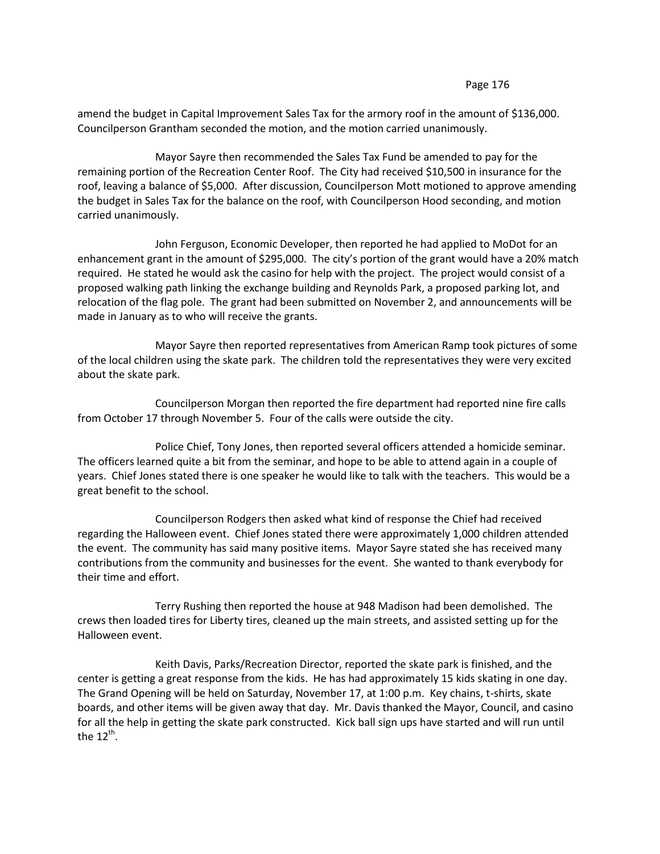## Page 176

amend the budget in Capital Improvement Sales Tax for the armory roof in the amount of \$136,000. Councilperson Grantham seconded the motion, and the motion carried unanimously.

Mayor Sayre then recommended the Sales Tax Fund be amended to pay for the remaining portion of the Recreation Center Roof. The City had received \$10,500 in insurance for the roof, leaving a balance of \$5,000. After discussion, Councilperson Mott motioned to approve amending the budget in Sales Tax for the balance on the roof, with Councilperson Hood seconding, and motion carried unanimously.

John Ferguson, Economic Developer, then reported he had applied to MoDot for an enhancement grant in the amount of \$295,000. The city's portion of the grant would have a 20% match required. He stated he would ask the casino for help with the project. The project would consist of a proposed walking path linking the exchange building and Reynolds Park, a proposed parking lot, and relocation of the flag pole. The grant had been submitted on November 2, and announcements will be made in January as to who will receive the grants.

Mayor Sayre then reported representatives from American Ramp took pictures of some of the local children using the skate park. The children told the representatives they were very excited about the skate park.

Councilperson Morgan then reported the fire department had reported nine fire calls from October 17 through November 5. Four of the calls were outside the city.

Police Chief, Tony Jones, then reported several officers attended a homicide seminar. The officers learned quite a bit from the seminar, and hope to be able to attend again in a couple of years. Chief Jones stated there is one speaker he would like to talk with the teachers. This would be a great benefit to the school.

Councilperson Rodgers then asked what kind of response the Chief had received regarding the Halloween event. Chief Jones stated there were approximately 1,000 children attended the event. The community has said many positive items. Mayor Sayre stated she has received many contributions from the community and businesses for the event. She wanted to thank everybody for their time and effort.

Terry Rushing then reported the house at 948 Madison had been demolished. The crews then loaded tires for Liberty tires, cleaned up the main streets, and assisted setting up for the Halloween event.

Keith Davis, Parks/Recreation Director, reported the skate park is finished, and the center is getting a great response from the kids. He has had approximately 15 kids skating in one day. The Grand Opening will be held on Saturday, November 17, at 1:00 p.m. Key chains, t-shirts, skate boards, and other items will be given away that day. Mr. Davis thanked the Mayor, Council, and casino for all the help in getting the skate park constructed. Kick ball sign ups have started and will run until the 12<sup>th</sup>.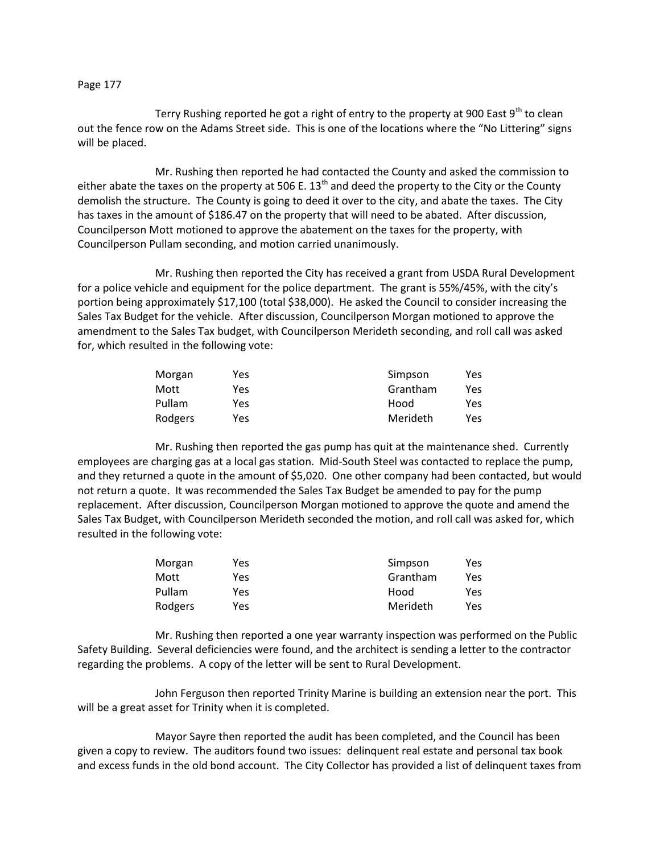## Page 177

Terry Rushing reported he got a right of entry to the property at 900 East  $9<sup>th</sup>$  to clean out the fence row on the Adams Street side. This is one of the locations where the "No Littering" signs will be placed.

Mr. Rushing then reported he had contacted the County and asked the commission to either abate the taxes on the property at 506 E. 13<sup>th</sup> and deed the property to the City or the County demolish the structure. The County is going to deed it over to the city, and abate the taxes. The City has taxes in the amount of \$186.47 on the property that will need to be abated. After discussion, Councilperson Mott motioned to approve the abatement on the taxes for the property, with Councilperson Pullam seconding, and motion carried unanimously.

Mr. Rushing then reported the City has received a grant from USDA Rural Development for a police vehicle and equipment for the police department. The grant is 55%/45%, with the city's portion being approximately \$17,100 (total \$38,000). He asked the Council to consider increasing the Sales Tax Budget for the vehicle. After discussion, Councilperson Morgan motioned to approve the amendment to the Sales Tax budget, with Councilperson Merideth seconding, and roll call was asked for, which resulted in the following vote:

| Morgan  | Yes. | Simpson  | Yes |
|---------|------|----------|-----|
| Mott    | Yes. | Grantham | Yes |
| Pullam  | Yes  | Hood     | Yes |
| Rodgers | Yes  | Merideth | Yes |

Mr. Rushing then reported the gas pump has quit at the maintenance shed. Currently employees are charging gas at a local gas station. Mid-South Steel was contacted to replace the pump, and they returned a quote in the amount of \$5,020. One other company had been contacted, but would not return a quote. It was recommended the Sales Tax Budget be amended to pay for the pump replacement. After discussion, Councilperson Morgan motioned to approve the quote and amend the Sales Tax Budget, with Councilperson Merideth seconded the motion, and roll call was asked for, which resulted in the following vote:

| Morgan  | Yes | Simpson  | Yes |
|---------|-----|----------|-----|
| Mott    | Yes | Grantham | Yes |
| Pullam  | Yes | Hood     | Yes |
| Rodgers | Yes | Merideth | Yes |

Mr. Rushing then reported a one year warranty inspection was performed on the Public Safety Building. Several deficiencies were found, and the architect is sending a letter to the contractor regarding the problems. A copy of the letter will be sent to Rural Development.

John Ferguson then reported Trinity Marine is building an extension near the port. This will be a great asset for Trinity when it is completed.

Mayor Sayre then reported the audit has been completed, and the Council has been given a copy to review. The auditors found two issues: delinquent real estate and personal tax book and excess funds in the old bond account. The City Collector has provided a list of delinquent taxes from